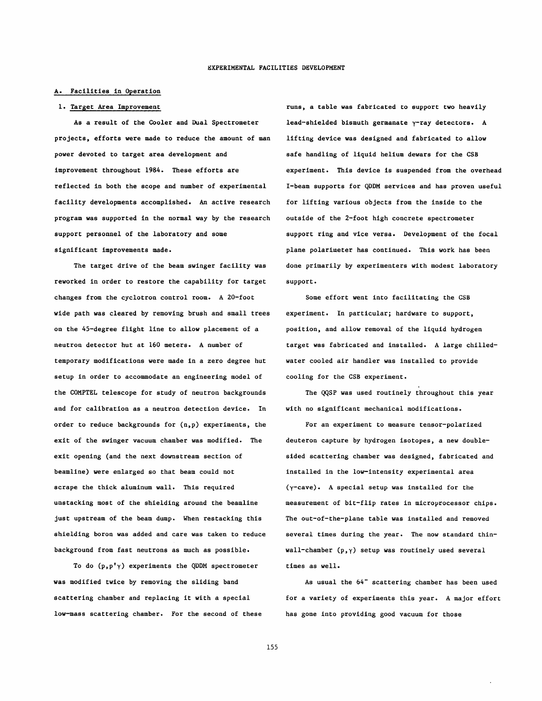## A. Facilities in Operation

## 1. Target Area Improvement

As a result of the Cooler and Dual Spectrometer projects, efforts were made to reduce the amount of man power devoted to target area development and improvement throughout 1984. These efforts are reflected in both the scope and number of experimental facility developments accomplished. An active research program was supported in the normal way by the research support personnel of the laboratory and some significant improvements made.

The target drive of the beam swinger facility was reworked in order to restore the capability for target changes from the cyclotron control room. A 20-foot wide path was cleared by removing brush and small trees on the 45-degree flight line to allow placement of a neutron detector hut at 160 meters. A number of temporary modifications were made in a zero degree hut setup in order to accommodate an engineering model of the COMPTEL telescope for study of neutron backgrounds and for calibration as a neutron detection device. In order to reduce backgrounds for (n,p) experiments, the exit of the swinger vacuum chamber was modified. The exit opening (and the next downstream section of beamline) were enlarged so that beam could not scrape the thick aluminum wall. This required unstacking most of the shielding around the beamline just upstream of the beam dump. When restacking this shielding boron was added and care was taken to reduce background from fast neutrons as much as possible.

To do  $(p, p' \gamma)$  experiments the QDDM spectrometer was modified twice by removing the sliding band scattering chamber and replacing it with a special low-mass scattering chamber. For the second of these runs, a table was fabricated to support two heavily lead-shielded bismuth germanate y-ray detectors. A lifting device was designed and fabricated to allow safe handling of liquid helium dewars for the CSB experiment. This device is suspended from the overhead I-beam supports for QDDM services and has proven useful for lifting various objects from the inside to the outside of the 2-foot high concrete spectrometer support ring and vice versa. Development of the focal plane polarimeter has continued. This work has been done primarily by experimenters with modest laboratory support.

Some effort went into facilitating the CSB experiment. In particular; hardware to support, position, and allow removal of the liquid hydrogen target was fabricated and installed. A large chilledwater cooled air handler was installed to provide cooling for the CSB experiment.

The QQSP was used routinely throughout this year with no significant mechanical modifications.

For an experiment to measure tensor-polarized deuteron capture by hydrogen isotopes, a new doublesided scattering chamber was designed, fabricated and installed in the low-intensity experimental area (y-cave). A special setup was installed for the measurement of bit-flip rates in microprocessor chips. The out-of-the-plane table was installed and removed several times during the year. The now standard thinwall-chamber  $(p, \gamma)$  setup was routinely used several times as well.

As usual the 64" scattering chamber has been used for a variety of experiments this year. A major effort has gone into providing good vacuum for those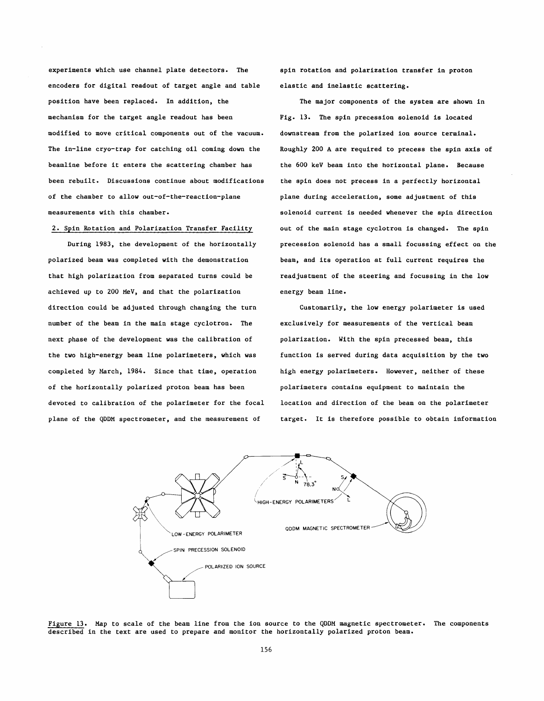experiments which use channel plate detectors. The encoders for digital readout of target angle and table position have been replaced. In addition, the mechanism for the target angle readout has been modified to move critical components out of the vacuum. The in-line cryo-trap for catching oil coming down the beamline before it enters the scattering chamber has been rebuilt. Discussions continue about modifications of the chamber to allow out-of-the-reaction-plane measurements with this chamber.

## **2.** Spin Rotation and Polarization Transfer Facility

During **1983,** the development of the horizontally polarized beam was completed with the demonstration that high polarization from separated turns could be achieved up to **200** MeV, and that the polarization direction could be adjusted through changing the turn number of the beam in the main stage cyclotron. The next phase of the development was the calibration of the two high-energy beam line polarimeters, which was completed by March, **1984.** Since that time, operation of the horizontally polarized proton beam has been devoted to calibration of the polarimeter for the focal plane of the QDDM spectrometer, and the measurement of

spin rotation and polarization transfer in proton elastic and inelastic scattering.

The major components of the system are shown in Fig. **13.** The spin precession solenoid is located downstream from the polarized ion source terminal. Roughly **200** A are required to precess the spin axis of the **600** keV beam into the horizontal plane. Because the spin does not precess in a perfectly horizontal plane during acceleration, some adjustment of this solenoid current is needed whenever the spin direction out of the main stage cyclotron is changed. The spin precession solenoid has a small focussing effect on the beam, and its operation at full current requires the readjustment of the steering and focussing in the low energy beam line.

Customarily, the low energy polarimeter is used exclusively for measurements of the vertical beam polarization. With the spin precessed beam, this function is served during data acquisition by the two high energy polarimeters. However, neither of these polarimeters contains equipment to maintain the location and direction of the beam on the polarimeter target. It is therefore possible to obtain information



Figure **13.** Map to scale of the beam line from the ion source to the QDDM magnetic spectrometer. The components described in the text are used to prepare and monitor the horizontally polarized proton beam.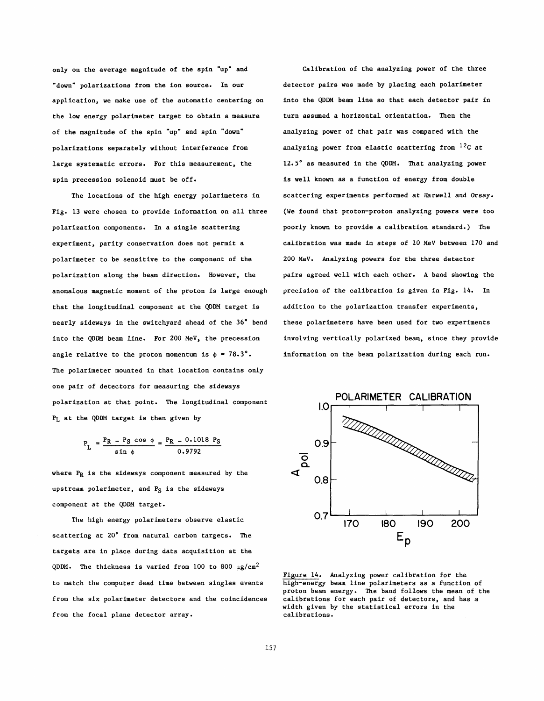"down" polarizations from the ion source. In our detector pairs was made by placing each polarimeter application, we make use of the automatic centering on the low energy polarimeter target to obtain a measure of the magnitude of the spin "up" and spin "down" polarizations separately without interference from large systematic errors. For this measurement, the spin precession solenoid must be off.

The locations of the high energy polarimeters in Fig. 13 were chosen to provide information on all three polarization components. In a single scattering experiment, parity conservation does not permit a polarimeter to be sensitive to the component of the polarization along the beam direction. However, the anomalous magnetic moment of the proton is large enough that the longitudinal component at the QDDM target is nearly sideways in the switchyard ahead of the 36' bend into the QDDM beam line. For 200 MeV, the precession angle relative to the proton momentum is  $\phi = 78.3$ °. The polarimeter mounted in that location contains only one pair of detectors for measuring the sideways polarization at that point. The longitudinal component **1.0 PL** at the QDDM target is then given by

$$
P_{L} = \frac{P_{R} - P_{S} \cos \phi}{\sin \phi} = \frac{P_{R} - 0.1018 P_{S}}{0.9792}
$$

where **PR** is the sideways component measured by the upstream polarimeter, and P<sub>S</sub> is the sideways component at the QDDM target.

The high energy polarimeters observe elastic scattering at 20' from natural carbon targets. The targets are in place during data acquisition at the QDDM. The thickness is varied from 100 to 800  $\mu$ g/cm<sup>2</sup> to match the computer dead time between singles events from the six polarimeter detectors and the coincidences from the focal plane detector array.

only on the average magnitude of the spin "up" and Calibration of the analyzing power of the three into the QDDM beam line so that each detector pair in turn assumed a horizontal orientation. Then the analyzing power of that pair was compared with the analyzing power from elastic scattering from **12c** at 12.5' as measured in the QDDM. That analyzing power is well known as a function of energy from double scattering experiments performed at Harwell and Orsay. (We found that proton-proton analyzing powers were too poorly known to provide a calibration standard.) The calibration was made in steps of 10 MeV between 170 and 200 MeV. Analyzing powers for the three detector pairs agreed well with each other. A band showing the precision of the calibration is given in Fig. 14. In addition to the polarization transfer experiments, these polarimeters have been used for two experiments involving vertically polarized beam, since they provide information on the beam polarization during each run.



Figure 14. **Analyzing** power calibration for the proton beam energy. The band follows the mean of the width given by the statistical errors in the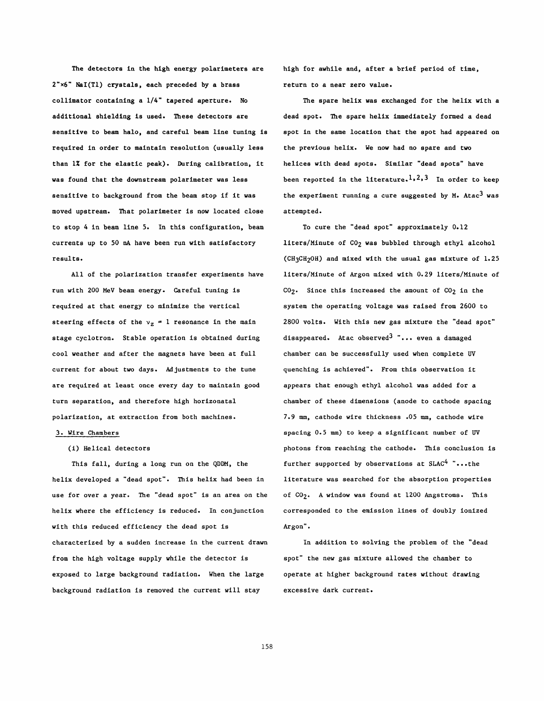The detectors in the high energy polarimeters are 2"x6" NaI(T1) crystals, each preceded by a brass collimator containing a 1/4" tapered aperture. No additional shielding is used. These detectors are sensitive to beam halo, and careful beam line tuning is required in order to maintain resolution (usually less than 1% for the elastic peak). During calibration, it was found that the downstream polarimeter was less sensitive to background from the beam stop if it was moved upstream. That polarimeter is now located close to stop 4 in beam line 5. In this configuration, beam currents up to 50 **nA** have been run with satisfactory results.

All of the polarization transfer experiments have run with 200 MeV beam energy. Careful tuning is required at that energy to minimize the vertical steering effects of the  $v_z = 1$  resonance in the main stage cyclotron. Stable operation is obtained during cool weather and after the magnets have been at full current for about two days. Adjustments to the tune are required at least once every day to maintain good turn separation, and therefore high horizonatal polarization, at extraction from both machines.

# 3. Wire Chambers

## (i) Helical detectors

This fall, during a long run on the QDDM, the helix developed a "dead spot". This helix had been in use for over a year. The "dead spot" is an area on the helix where the efficiency is reduced. In conjunction with this reduced efficiency the dead spot is characterized by a sudden increase in the current drawn from the high voltage supply while the detector is exposed to large background radiation. When the large background radiation is removed the current will stay

high for awhile and, after a brief period of time, return to a near zero value.

The spare helix was exchanged for the helix with a dead spot. The spare helix immediately formed a dead spot in the same location that the spot had appeared on the previous helix. We now had no spare and two helices with dead spots. Similar "dead spots" have been reported in the literature.<sup>1</sup>,<sup>2</sup>,<sup>3</sup> In order to keep the experiment running a cure suggested by M. Atac<sup>3</sup> was attempted.

To cure the "dead spot" approximately 0.12 liters/Minute of C02 was bubbled through ethyl alcohol (CH3CH20H) and mixed with the usual gas mixture of 1.25 liters/Minute of Argon mixed with 0.29 liters/Minute of  $CO<sub>2</sub>$ . Since this increased the amount of  $CO<sub>2</sub>$  in the system the operating voltage was raised from 2600 to 2800 volts. With this new gas mixture the "dead spot" disappeared. Atac observed<sup>3</sup> "... even a damaged chamber can be successfully used when complete W quenching is achieved". From this observation it appears that enough ethyl alcohol was added for a chamber of these dimensions (anode to cathode spacing 7.9 **mm,** cathode wire thickness .05 **mm,** cathode wire spacing 0.5 **mm)** to keep a significant number of UV photons from reaching the cathode. This conclusion is further supported by observations at  $SLAC<sup>4</sup>$  "...the literature was searched for the absorption properties of CO<sub>2</sub>. A window was found at 1200 Angstroms. This corresponded to the emission lines of doubly ionized Argon".

In addition to solving the problem of the "dead spot" the new gas mixture allowed the chamber to operate at higher background rates without drawing excessive dark current.

158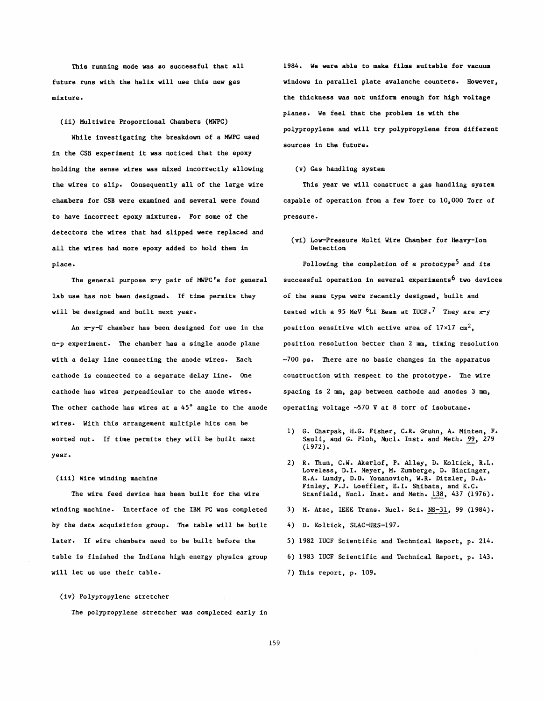(ii) Multiwire Proportional Chambers (MWPC)

While investigating the breakdown of a MWPC used in the CSB experiment it was noticed that the epoxy holding the sense wires was mixed incorrectly allowing (v) Gas handling system the wires to slip. Consequently all of the large wire This year we will construct a gas handling system chambers for CSB were examined and several were found capable of operation from a few Torr to 10,000 Torr of to have incorrect epoxy mixtures. For some of the pressure. detectors the wires that had slipped were replaced and all the wires had more epoxy added to hold them in place. The completion of a prototype<sup>5</sup> and its completion of a prototype<sup>5</sup> and its

lab use has not been designed. If time permits they of the same type were recently designed, built and will be designed and built next year.  $\qquad \qquad$  tested with a 95 MeV  $^6$ Li Beam at IUCF.<sup>7</sup> They are x-y

n-p experiment. The chamber has a single anode plane position resolution better than 2 mm, timing resolution with a delay line connecting the anode wires. Each  $\sim$ 700 ps. There are no basic changes in the apparatus cathode is connected to a separate delay line. One construction with respect to the prototype. The wire cathode has wires perpendicular to the anode wires. spacing is 2 mm, gap between cathode and anodes 3 mm, The other cathode has wires at a 45° angle to the anode operating voltage  $~570$  V at 8 torr of isobutane. wires. With this arrangement multiple hits can be sorted out. If time permits they will be built next 1) G. Charpak, H.G. Fisher, C.R. Gruhn, A. Minten, F.<br>Sauli, and G. Ploh, Nucl. Inst. and Meth. <u>99</u>, 279 year.

winding machine. Interface of the IBM PC was completed 3) M. Atac, IEEE Trans. Nucl. Sci. NS-31, 99 (1984). by the data acquisition group. The table will be built 4) **D.** Koltick, SLAC-HRS-197. later. If wire chambers need to be built before the 5) 1982 IUCF Scientific and Technical Report, p. 214. table is finished the Indiana high energy physics group 6) 1983 IUCF Scientific and Technical Report, p. 143. will let us use their table.  $\qquad \qquad$  7) This report, p. 109.

## (iv) Polypropylene stretcher

The polypropylene stretcher was completed early in

This running mode was so successful that all 1984. We were able to make films suitable for vacuum future runs with the helix will use this new gas windows in parallel plate avalanche counters. However, mixture. the thickness was not uniform enough for high voltage planes. We feel that the problem is with the polypropylene and will try polypropylene from different sources in the future.

(vi) Low-Pressure Multi Wire Chamber for Heavy-Ion

The general purpose x-y pair of MWPC's for general successful operation in several experiments<sup>6</sup> two devices An x-y-U chamber has been designed for use in the position sensitive with active area of  $17 \times 17$  cm<sup>2</sup>,

- $(1972)$ .
- 2) R. Thun, C.W. Akerlof, P. Alley, D. Koltick, R.L. Loveless, **D.I.** Meyer, M. Zumberge, **D.** Bintinger, (iii) Wire winding machine R.A. Lundy, D.D. Yonanovich, W.R. Ditzler, D.A. Finley, F.J. Loeffler, E.I. Shibata, and K.C. The wire feed device has been built for the wire Stanfield, Nucl. Inst. and Meth. 138, 437 (1976).
	-
	-
	-
	-
	-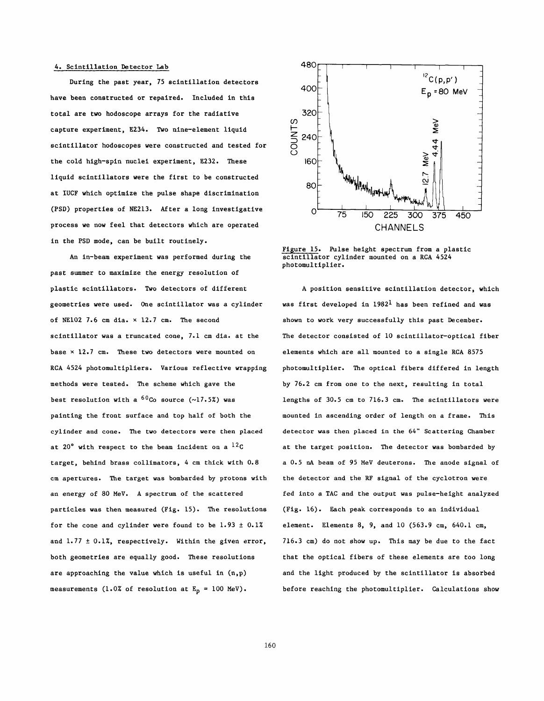### 4. Scintillation Detector Lab

During the past year, 75 scintillation detectors have been constructed or repaired. Included in this total are two hodoscope arrays for the radiative capture experiment, E234. Two nine-element liquid scintillator hodoscopes were constructed and tested for the cold high-spin nuclei experiment, E232. These liquid scintillators were the first to be constructed at IUCF which optimize the pulse shape discrimination (PSD) properties of NE213. After a long investigative process we now feel that detectors which are operated in the PSD mode, can be built routinely.

An in-beam experiment was performed during the past summer to maximize the energy resolution of plastic scintillators. Two detectors of different geometries were used. One scintillator was a cylinder of NE102 7.6 cm dia. **x** 12.7 cm. The second scintillator was a truncated cone, 7.1 cm dia. at the base **x** 12.7 cm. These two detectors were mounted on RCA 4524 photomultipliers. Various reflective wrapping methods were tested. The scheme which gave the best resolution with a <sup>60</sup>Co source (~17.5%) was painting the front surface and top half of both the cylinder and cone. The two detectors were then placed at 20' with respect to the beam incident on a **12c**  target, behind brass collimators, 4 cm thick with 0.8 cm apertures. The target was bombarded by protons with an energy of 80 MeV. A spectrum of the scattered particles was then measured (Fig. 15). The resolutions for the cone and cylinder were found to be  $1.93 \pm 0.1\%$ and  $1.77 \pm 0.1\%$ , respectively. Within the given error, both geometries are equally good. These resolutions are approaching the value which is useful in  $(n, p)$ measurements (1.0% of resolution at  $E_p = 100$  MeV).



Figure 15. Pulse height spectrum from a plastic scintillator cylinder mounted on a RCA 4524 photomultiplier.

A position sensitive scintillation detector, which was first developed in  $1982<sup>1</sup>$  has been refined and was shown to work very successfully this past December. The detector consisted of 10 scintillator-optical fiber elements which are all mounted to a single RCA 8575 photomultiplier. The optical fibers differed in length by 76.2 cm from one to the next, resulting in total lengths of 30.5 cm to 716.3 cm. The scintillators were mounted in ascending order of length on a frame. This detector was then placed in the *64"* Scattering Chamber at the target position. The detector was bombarded by a 0.5 **nA** beam of 95 MeV deuterons. The anode signal of the detector and the **RF** signal of the cyclotron were fed into a TAC and the output was pulse-height analyzed (Fig. 16). Each peak corresponds to an individual element. Elements 8, 9, and 10 (563.9 cm, 640.1 cm, 716.3 cm) do not show up. This may be due to the fact that the optical fibers of these elements are too long and the light produced by the scintillator is absorbed before reaching the photomultiplier. Calculations show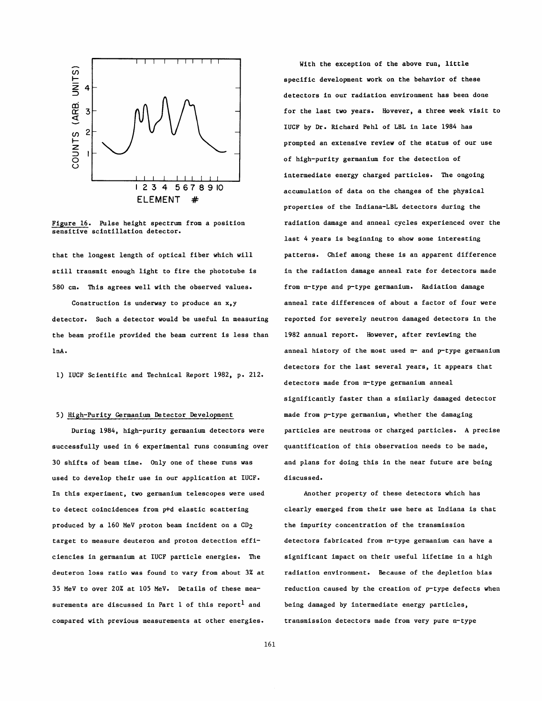

Figure 16. Pulse height spectrum from a position sensitive scintillation detector.

that the longest length of optical fiber which will still transmit enough light to fire the phototube is 580 cm. This agrees well with the observed values.

Construction is underway to produce an x,y detector. Such a detector would be useful in measuring the beam profile provided the beam current is less than 1nA.

1) IUCF Scientific and Technical Report 1982, p. 212.

# 5) High-Purity Germanium Detector Development

During 1984, high-purity germanium detectors were successfully used in 6 experimental runs consuming over 30 shifts of beam time. Only one of these runs was used to develop their use in our application at IUCF. In this experiment, two germanium telescopes were used to detect coincidences from p+d elastic scattering produced by a 160 MeV proton beam incident on a CD2 target to measure deuteron and proton detection efficiencies in germanium at IUCF particle energies. The deuteron loss ratio was found to vary from about 3% at 35 MeV to over 20% at 105 MeV. Details of these measurements are discussed in Part 1 of this report<sup>1</sup> and compared with previous measurements at other energies.

With the exception of the above run, little specific development work on the behavior of these detectors in our radiation environment has been done for the last two years. Hovever, a three week visit to IUCF by Dr. Richard Pehl of LBL in late 1984 has prompted an extensive review of the status of our use of high-purity germanium for the detection of intermediate energy charged particles. **The** ongoing accumulation of data on the changes of the physical properties of the Indiana-LBL detectors during the radiation damage and anneal cycles experienced over the last 4 years is beginning to show some interesting patterns. Chief among these is an apparent difference in the radiation damage anneal rate for detectors made from n-type and p-type germanium. Radiation damage anneal rate differences of about a factor of four were reported for severely neutron damaged detectors in the 1982 annual report. However, after reviewing the anneal history of the most used n- and p-type germanium detectors for the last several years, it appears that detectors made from n-type germanium anneal significantly faster than a similarly damaged detector made from p-type germanium, whether the damaging particles are neutrons or charged particles. A precise quantification of this observation needs to be made, and plans for doing this in the near future are being discussed.

Another property of these detectors which has clearly emerged from their use here at Indiana is that the impurity concentration of the transmission detectors fabricated from n-type germanium can have a significant impact on their useful lifetime in a high radiation environment. Because of the depletion bias reduction caused by the creation of p-type defects when being damaged by intermediate energy particles, transmission detectors made from very pure n-type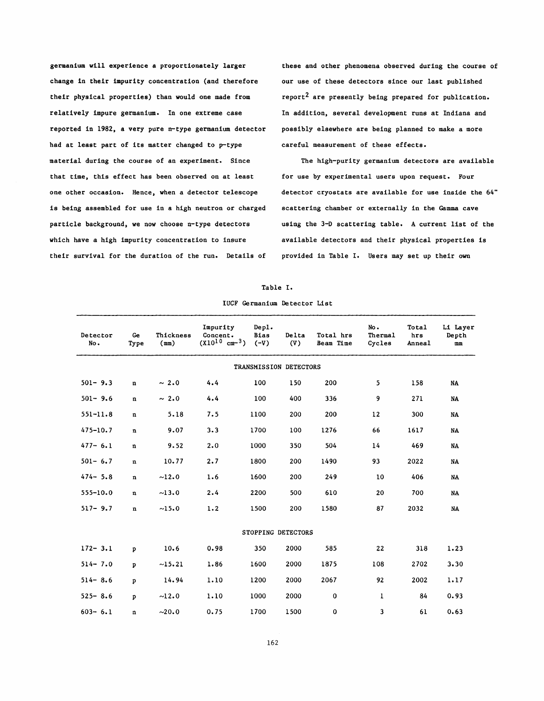germanium will experience a proportionately larger change in their impurity concentration (and therefore their physical properties) than would one made from relatively impure germanium. In one extreme case reported in 1982, a very pure n-type germanium detector had at least part of its matter changed to p-type material during the course of an experiment. Since that time, this effect has been observed on at least one other occasion. Hence, when a detector telescope is being assembled for use in a high neutron or charged particle background, we now choose n-type detectors which have a high impurity concentration to insure their survival for the duration of the run. Details of these and other phenomena observed during the course of our use of these detectors since our last published report2 are presently being prepared for publication. In addition, several development runs at Indiana and possibly elsewhere are being planned to make a more careful measurement of these effects.

The high-purity germanium detectors are available for use by experimental users upon request. Four detector cryostats are available for use inside the 64" scattering chamber or externally in the **Gamma** cave using the 3-D scattering table. A current list of the available detectors and their physical properties is provided in Table I. Users may set up their own

#### Table I.

| IUCF Germanium Detector List |  |  |
|------------------------------|--|--|
|------------------------------|--|--|

| Detector<br>No.        | Ge<br>Type   | Thickness<br>(mn) | Impurity<br>Concent.<br>$(X10^{10} cm^{-3})$ | Dep.<br><b>Bias</b><br>$(-V)$ | Delta<br>(V) | Total hrs<br>Beam Time | No.<br>Thermal<br>Cycles | Total<br>hrs<br>Anneal | Li Layer<br>Depth<br>mm |  |  |
|------------------------|--------------|-------------------|----------------------------------------------|-------------------------------|--------------|------------------------|--------------------------|------------------------|-------------------------|--|--|
| TRANSMISSION DETECTORS |              |                   |                                              |                               |              |                        |                          |                        |                         |  |  |
| $501 - 9.3$            | $\bf n$      | ~2.0              | 4.4                                          | 100                           | 150          | 200                    | 5                        | 158                    | <b>NA</b>               |  |  |
| $501 - 9.6$            | $\mathbf{n}$ | $\sim 2.0$        | 4.4                                          | 100                           | 400          | 336                    | 9                        | 271                    | NA                      |  |  |
| $551 - 11.8$           | $\mathbf n$  | 5.18              | 7.5                                          | 1100                          | 200          | 200                    | 12                       | 300                    | NA                      |  |  |
| $475 - 10.7$           | $\mathbf n$  | 9.07              | 3.3                                          | 1700                          | 100          | 1276                   | 66                       | 1617                   | NA                      |  |  |
| $477 - 6.1$            | $\mathbf n$  | 9.52              | 2.0                                          | 1000                          | 350          | 504                    | 14                       | 469                    | NA                      |  |  |
| $501 - 6.7$            | $\mathbf n$  | 10.77             | 2.7                                          | 1800                          | 200          | 1490                   | 93                       | 2022                   | NA                      |  |  |
| $474 - 5.8$            | $\mathbf n$  | ~12.0             | 1.6                                          | 1600                          | 200          | 249                    | 10                       | 406                    | NA                      |  |  |
| $555 - 10.0$           | n            | ~13.0             | 2.4                                          | 2200                          | 500          | 610                    | 20                       | 700                    | NA                      |  |  |
| $517 - 9.7$            | $\mathbf{n}$ | ~15.0             | 1.2                                          | 1500                          | 200          | 1580                   | 87                       | 2032                   | <b>NA</b>               |  |  |
| STOPPING DETECTORS     |              |                   |                                              |                               |              |                        |                          |                        |                         |  |  |
| $172 - 3.1$            | p            | 10.6              | 0.98                                         | 350                           | 2000         | 585                    | 22                       | 318                    | 1.23                    |  |  |
| $514 - 7.0$            | Þ            | ~15.21            | 1.86                                         | 1600                          | 2000         | 1875                   | 108                      | 2702                   | 3.30                    |  |  |
| $514 - 8.6$            | p            | 14.94             | 1.10                                         | 1200                          | 2000         | 2067                   | 92                       | 2002                   | 1.17                    |  |  |
| $525 - 8.6$            | $\mathbf{p}$ | ~12.0             | 1.10                                         | 1000                          | 2000         | $\bf{0}$               | $\mathbf{1}$             | 84                     | 0.93                    |  |  |
| $603 - 6.1$            | n            | ~20.0             | 0.75                                         | 1700                          | 1500         | 0                      | 3                        | 61                     | 0.63                    |  |  |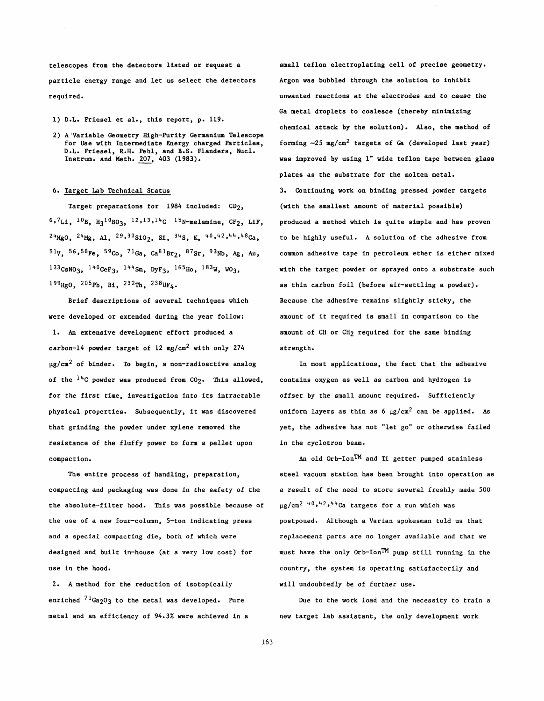telescopes from the detectors listed or request a particle energy range and let us select the detectors required.

- 1) D.L. Friesel et al., this report, p. 119.
- 2) A'Variable Geometry High-Purity Germanium Telescope for Use with Intermediate Energy charged Particles, D.L. Friesel, R.H. Pehl, and B.S. Flanders, Nucl. Instrum. and Meth. 207, 403 (1983).

# 6. Target Lab Technical Status

Target preparations for  $1984$  included:  $CD_2$ ,  $6.7L1, ~10B, ~H_3$ <sup>10</sup>BO<sub>3</sub>, <sup>12</sup>, <sup>13</sup>, <sup>14</sup>C <sup>15</sup>N-melamine, CF<sub>2</sub>, LiF,  $^{24}$ MgO,  $^{24}$ Mg, A1,  $^{29}$ ,  $^{30}$ SiO<sub>2</sub>, S1,  $^{34}$ S, K,  $^{40}$ ,  $^{42}$ ,  $^{44}$ ,  $^{48}$ Ca,  $51V$ ,  $56,58Fe$ ,  $59Co$ ,  $71Ga$ ,  $Ca<sup>81</sup>Br<sub>2</sub>$ ,  $87Sr$ ,  $93Nb$ , Ag, Au,  $133C<sub>SNO3</sub>, 140C<sub>eff3</sub>, 144S<sub>m</sub>, DyF<sub>3</sub>, 165<sub>Ho</sub>, 183<sub>W</sub>, W0<sub>3</sub>,$  $199_{\text{Hg0}}$ ,  $205_{\text{Pb}}$ , Bi,  $232_{\text{Th}}$ ,  $238_{\text{UF}_4}$ .

Brief descriptions of several techniques which vere developed or extended during the year follow: 1. **An** extensive development effort produced a carbon-14 powder target of 12 mg/cm<sup>2</sup> with only 274  $\mu$ g/cm<sup>2</sup> of binder. To begin, a non-radioactive analog of the  $14C$  powder was produced from  $CO<sub>2</sub>$ . This allowed, for the first time, investigation into its intractable physical properties. Subsequently, it was discovered that grinding the powder under xylene removed the resistance of the fluffy power to form a pellet upon compaction.

The entire process of handling, preparation, compacting and packaging was done in the safety of the the absolute-filter hood. This was possible because of the use of a new four-column, 5-ton indicating press and a special compacting die, both of which were designed and built in-house (at a very low cost) for use in the hood.

2. A method for the reduction of isotopically enriched  $7^{1}$ Ga<sub>2</sub>03 to the metal was developed. Pure metal and an efficiency of 94.3% were achieved in a small teflon electroplating cell of precise geometry. Argon was bubbled through the solution to inhibit unwanted reactions at the electrodes and to cause the Ga metal droplets to coalesce (thereby minimizing chemical attack by the solution). Also, the method of forming  $\sim$ 25 mg/cm<sup>2</sup> targets of Ga (developed last year) was improved by using 1" wide teflon tape between glass plates as the substrate for the molten metal. 3. Continuing work on binding pressed powder targets (with the smallest amount of material possible) produced a method which is quite simple and has proven to be highly useful. A solution of the adhesive from common adhesive tape in petroleum ether is either mixed with the target powder or sprayed onto a substrate such as thin carbon foil (before air-settling a powder). Because the adhesive remains slightly sticky, the amount of it required is small in comparison to the amount of CH or CH<sub>2</sub> required for the same binding strength.

In most applications, the fact that the adhesive contains oxygen as well as carbon and hydrogen is offset by the small amount required. Sufficiently uniform layers as thin as  $6 \mu g/cm^2$  can be applied. As yet, the adhesive has not "let go" or otherwise failed in the cyclotron beam.

An old  $0rb-Ion<sup>TM</sup>$  and Ti getter pumped stainless steel vacuum station has been brought into operation as a result of the need to store several freshly made 500  $\mu$ g/cm<sup>2 40,42,44</sup> $Ca$  targets for a run which was postponed. Although a Varian spokesman told us that replacement parts are no longer available and that we must have the only Orb-1onTM pump still running in the country, the system is operating satisfactorily and will undoubtedly be of further use.

Due to the work load and the necessity to train a new target lab assistant, the only development work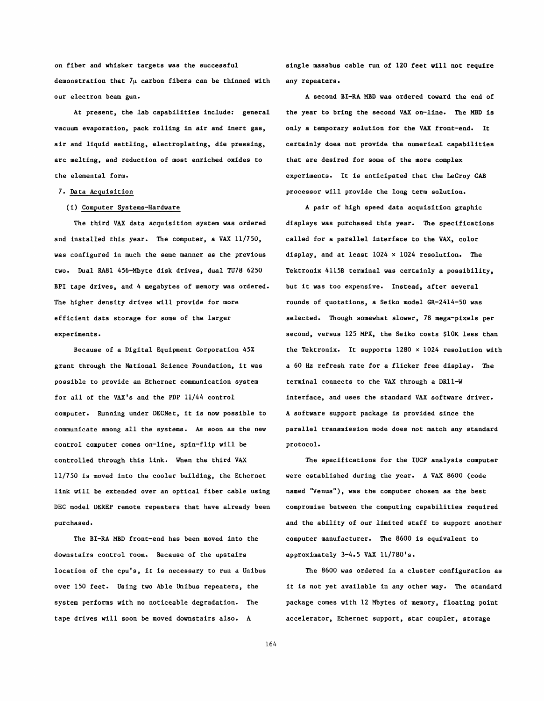on fiber and whisker targets was the successful demonstration that  $7\mu$  carbon fibers can be thinned with our electron beam gun.

At present, the lab capabilities include: general vacuum evaporation, pack rolling in air and inert gas, air and liquid settling, electroplating, die pressing, arc melting, and reduction of most enriched oxides to the elemental form.

## 7. Data Acquisition

### (i) Computer Systems-Hardware

The third VAX data acquisition system was ordered and installed this year. The computer, a VAX 11/750, was configured in much the same manner as the previous two. Dual RA81 456-Mbyte disk drives, dual TU78 6250 BPI tape drives, and 4 megabytes of memory was ordered. The higher density drives will provide for more efficient data storage for some of the larger experiments.

Because of a Digital Equipment Corporation 45% grant through the National Science Foundation, it was possible to provide an Ethernet communication system for all of the VAX's and the PDP 11/44 control computer. Running under DECNet, it is now possible to communicate among all the systems. As soon as the new control computer comes on-line, spin-flip will be controlled through this link. When the third VAX 11/750 is moved into the cooler building, the Ethernet link will be extended over an optical fiber cable using DEC model DEREP remote repeaters that have already been purchased.

The BI-RA MBD front-end has been moved into the downstairs control room. Because of the upstairs location of the cpu's, it is necessary to run a Unibus over 150 feet. Using two Able Unibus repeaters, the system performs with no noticeable degradation. The tape drives will soon be moved downstairs also. A

single massbus cable run of 120 feet will not require any repeaters.

A second BI-RA MBD **was** ordered toward the end of the year to bring the second VAX on-line. The MBD is only a temporary solution for the VAX front-end. It certainly does not provide the numerical capabilities that are desired for some of the more complex experiments. It is anticipated that the LeCroy CAB processor will provide the long term solution.

A pair of high speed data acquisition graphic displays was purchased this year. The specifications called for a parallel interface to the VAX, color display, and at least 1024 **x** 1024 resolution. The Tektronix 4115B terminal was certainly a possibility, but it was too expensive. Instead, after several rounds of quotations, a Seiko model GR-2414-50 was selected. Though somewhat slower, 78 mega-pixels per second, versus 125 **MPX,** the Seiko costs \$10K less than the Tektronix. It supports 1280 **x** 1024 resolution with a 60 Hz refresh rate for a flicker free display. The terminal connects to the VAX through a DR11-W interface, and uses the standard VAX software driver. A software support package is provided since the **parallel** transmission mode does not match any standard protocol.

The specifications for the IUCF analysis computer were established during the year. A VAX 8600 (code named "Venus"), was the computer chosen as the best compromise between the computing capabilities required and the ability of our limited staff to support another computer manufacturer. The 8600 is equivalent to approximately 3-4.5 **VAX** 11/7801s.

The 8600 was ordered in a cluster configuration as it is not yet available in any other way. The standard package comes with 12 Mbytes of memory, floating point accelerator, Ethernet support, star coupler, storage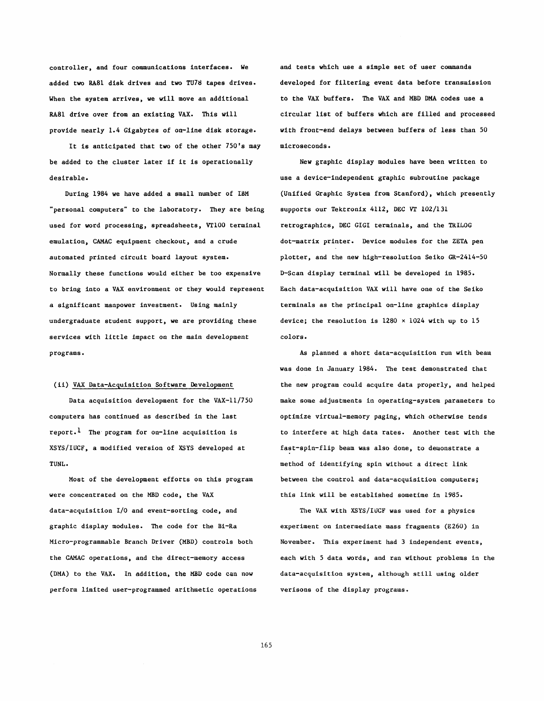controller, and four communications interfaces. We added two RA81 disk drives and two TU78 tapes drives. When the system arrives, we will move an additional RA81 drive over from an existing VAX. This will provide nearly 1.4 Gigabytes of on-line disk storage.

It is anticipated that two of the other 750's may be added to the cluster later if it is operationally desirable.

During 1984 we have added a small number of IBM "personal computers" to the laboratory. They are being used for word processing, spreadsheets, VT100 terminal emulation, CAMAC equipment checkout, and a crude automated printed circuit board layout system. Normally these functions would either be too expensive to bring into a VAX environment or they would represent a significant manpower investment. Using mainly undergraduate student support, we are providing these services with little impact on the main development programs.

## (ii) VAX Data-Acquisition Software Development

Data acquisition development for the VAX-11/750 computers has continued as described in the last report.<sup>1</sup> The program for on-line acquisition is XSYS/IUCF, a modified version of XSYS developed at **TUNL** .

Most of the development efforts on this program were concentrated on the MBD code, the VAX data-acquisition 1/0 and event-sorting code, and graphic display modules. **The** code for the Bi-Ra Micro-programmable Branch Driver (MBD) controls both the CAMAC operations, and the direct-memory access (DMA) to the VAX. In addition, the **MBD** code can now perform limited user-programmed arithmetic operations

and tests which use a simple set of user commands developed for filtering event data before transuission to the VAX buffers. The VAX and **MBD DMA** codes use a circular list of buffers which are filled and processed with front-end delays between buffers of less than 50 microseconds.

New graphic display modules have been written to use a device-independent graphic subroutine package (Unified Graphic System from Stanford), which presently supports our Tektronix 4112, DEC **VT** 102/131 retrographics, DEC GIG1 terminals, and the TRILOG dot-matrix printer. Device modules for the ZETA pen plotter, and the new high-resolution Seiko GR-2414-50 D-Scan display terminal will be developed in 1985. Each data-acquisition VAX will have one of the Seiko terminals as the principal on-line graphics display device; the resolution is 1280 **x** 1024 with up to 15 colors.

As planned a short data-acquisition run with beau was done in January 1984. The test demonstrated that the new program could acquire data properly, and helped make some adjustments in operating-system parameters to optimize virtual-memory paging, which otherwise tends to interfere at high data rates. Another test with the fast-spin-flip beam was also done, to demonstrate a method of identifying spin without a direct link between the control and data-acquisition computers; this link will be established sometime in 1985.

The VAX with XSYS/IUCF was used for a physics experiment on intermediate mass fragments (E260) in November. This experiment had 3 independent events, each with 5 data words, and ran without problems in the data-acquisition system, although still using older verisons of the display programs.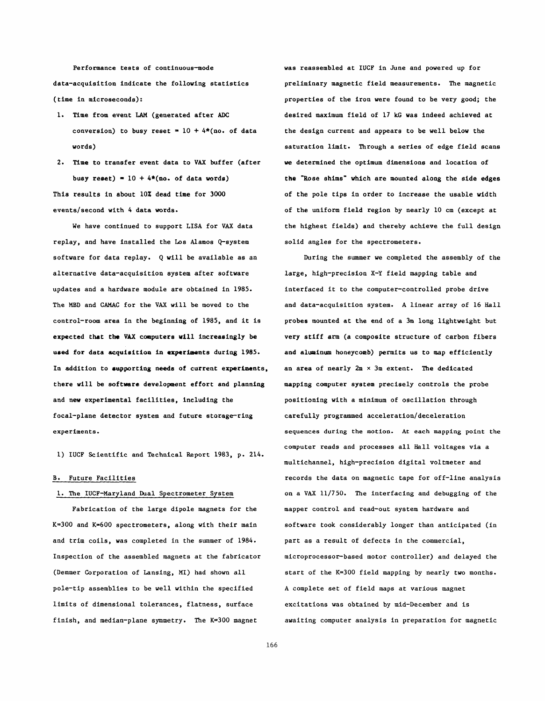Performance tests of continuous-mode data-acquisition indicate the following statistics (time in microseconds):

- 1. Time from event LAM (generated after **ADC**  conversion) to busy reset =  $10 + 4*(no, of data)$ words)
- 2. Time to transfer event data to **VAX** buffer (after busy reset) =  $10 + 4*(no. of data words)$ This results in about 10% dead time for **3000**  events/second with 4 data words.

We have continued to support LISA for **VAX** data replay, and have installed the Los Alamos Q-system software for data replay. Q will be available as an alternative data-acquisition system after software updates and a hardware module are obtained in 1985. The MBD and CAMAC for the **VAX** will be moved to the control-room area in the beginning of 1985, and it is expected that **the VAX** conputere will increaeingly be used for data acquisition in experiments during 1985. In addition to supporting needs of current experiments, there will be **softwarc** development effort and planning and new experimental facilities, including the focal-plane detector system and future storage-ring experiments.

1) IUCF Scientific and Technical Report 1983, p. 214.

# **B.** Future Facilities

# 1. The IUCF-Maryland Dual Spectrometer System

Fabrication of the large dipole magnets for the K=300 and K=600 spectrometers, along with their main and trim coils, was completed in the summer of 1984. Inspection of the assembled magnets at the fabricator (Demmer Corporation of Lansing, MI) had shown all pole-tip assemblies to be well within the specified limits of dimensional tolerances, flatness, surface finish, and median-plane symmetry. The K=300 magnet

was reassembled at IUCF in June and powered up for preliminary magnetic field measurements. The magnetic properties of the iron were found to be very good; the desired maximum field of 17 **kG** was indeed achieved at the design current and appears to be well below the saturation limit. Through a series of edge field scans **we** determined the optimum dimensions and location of the "Rose shims" which are mounted along the side edges of the pole tips in order to increase the usable width of the uniform field region by nearly 10 cm (except at the highest fields) and thereby achieve the full design solid angles for the spectrometers.

During the summer we completed the assembly of the large, high-precision X-Y field mapping table and interfaced it to the computer-controlled probe drive and data-acquisition system. A linear array of 16 Hall probes mounted at the end of a 3m long lightweight but very stiff arm (a composite structure of carbon fibers and aluminum honeycomb) permits us to map efficiently an area of nearly 2m **x** 3m extent. **The** dedicated mapping computer system precisely controls the probe positioning with a minimum of oscillation through carefully programmed **acceleration/deceleration**  sequences during the motion. At each mapping point the computer reads and processes all Hall voltages via a multichannel, high-precision digital voltmeter and records the data on magnetic tape for off-line analysis on a **VAX 11/750.** The interfacing and debugging of the mapper control and read-out system hardware and software took considerably longer than anticipated (in part as a result of defects in the commercial, microprocessor-based motor controller) and delayed the start of the K=300 field mapping by nearly two months. A complete set of field maps at various magnet excitations was obtained by mid-December and is awaiting computer analysis in preparation for magnetic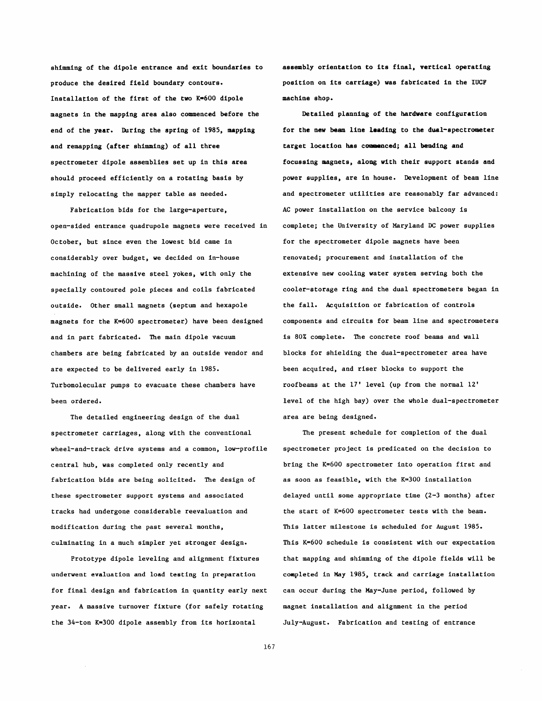shimming of the dipole entrance and exit boundaries to produce the desired field boundary contours. Installation of the first of the two  $K=600$  dipole magnets in the mapping area also commenced before the end of the year. During the spring of 1985, mappiag and remapping (after shimming) of all three spectrometer dipole assemblies set up in this area should proceed efficiently on a rotating basis by simply relocating the mapper table as needed.

Fabrication bids for the large-aperture, open-sided entrance quadrupole magnets were received in October, but since even the lowest bid came in considerably over budget, we decided on in-house machining of the massive steel yokes, with only the specially contoured pole pieces and coils fabricated outside. Other small magnets (septum and hexapole magnets for the K=600 spectrometer) have been designed and in part fabricated. The main dipole vacuum chambers are being fabricated by an outside vendor and are expected to be delivered early in 1985. Turbomolecular pumps to evacuate these chambers have been ordered.

The detailed engineering design of the dual spectrometer carriages, along with the conventional wheel-and-track drive systems and a common, low-profile central hub, was completed only recently and fabrication bids are being solicited. The design of these spectrometer support systems and associated tracks had undergone considerable reevaluation and modification during the past several months, culminating in a much simpler yet stronger design.

Prototype dipole leveling and alignment fixtures underwent evaluation and load testing in preparation for final design and fabrication in quantity early next year. A massive turnover fixture (for safely rotating the 34-ton K=300 dipole assembly from its horizontal

asseably orientation to its final, vertical operating position on its carriage) was fabricated in the **IUCF**  machine shop.

Detailed planning of the hardware configuration for the new beam line leading to the dual-spectrometer target location has commenced; all bending and focussing magnets, along with their support stands and power supplies, are in house. Development of beam line and spectrometer utilities are reasonably far advanced: AC power installation on the service balcony is complete; the University of Maryland **DC** power supplies for the spectrometer dipole magnets have been renovated; procurement and installation of the extensive new cooling water system serving both the cooler-storage ring and the dual spectrometers began in the fall. Acquisition or fabrication of controls components and circuits for beam line and spectrometers is 80% complete. The concrete roof beams and wall blocks for shielding the dual-spectrometer area have been acquired, and riser blocks to support the roofbeams at the 17' level (up from the normal 12' level of the high bay) over the whole dual-spectrometer area are being designed.

The present schedule for completion of the dual spectrometer project is predicated on the decision to bring the K=600 spectrometer into operation first and as soon as feasible, with the K=300 installation delayed until some appropriate time (2-3 months) after the start of K=600 spectrometer tests with the beam. This latter milestone is scheduled for August 1985. This K=600 schedule is consistent with our expectation that mapping and shimming of the dipole fields will be completed in May 1985, track and carriage installation can occur during the May-June period, followed by magnet installation and alignment in the period July-August. Fabrication and testing of entrance

167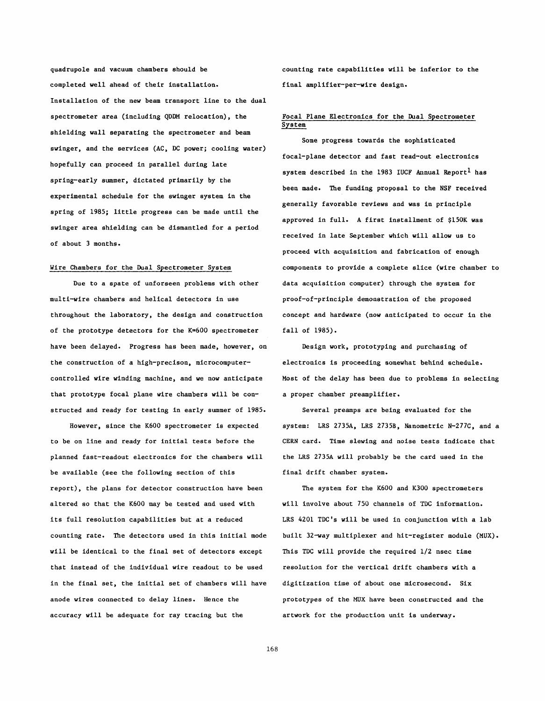quadrupole and vacuum chambers should be example in the counting rate capabilities will be inferior to the completed well ahead of their installation. final amplifier-per-wire design. Installation of the new beam transport line to the dual spectrometer area (including QDDM relocation), the shielding wall separating the spectrometer and beam swinger, and the services (AC, DC power; cooling water) hopefully can proceed in parallel during late spring-early summer, dictated primarily by the experimental schedule for the swinger system in the spring of 1985; little progress can be made until the swinger area shielding can be dismantled for a period of about 3 months.

# Wire Chambers for the Dual Spectrometer System

Due to a spate of unforseen problems with other multi-wire chambers and helical detectors in use throughout the laboratory, the design and construction of the prototype detectors for the K=600 spectrometer have been delayed. Progress has been made, however, on the construction of a high-precison, microcomputercontrolled wire winding machine, and we now anticipate that prototype focal plane wire chambers will be constructed and ready for testing in early summer of 1985.

However, since the K600 spectrometer is expected to be on line and ready for initial tests before the planned fast-readout electronics for the chambers will be available (see the following section of this report), the plans for detector construction have been altered so that the K600 may be tested and used with its full resolution capabilities but at a reduced counting rate. The detectors used in this initial mode will be identical to the final set of detectors except that instead of the individual wire readout to be used in the final set, the initial set of chambers will have anode wires connected to delay lines. Hence the accuracy will be adequate for ray tracing but the

# Focal Plane Electronics for the Dual Spectrometer System

Some progress towards the sophisticated focal-plane detector and fast read-out electronics system described in the 1983 IUCF Annual Report $^{\rm l}$  has been made. The funding proposal to the NSF received generally favorable reviews and was in principle approved in full. A first installment of \$150K was received in late September which will allow us to proceed with acquisition and fabrication of enough components to provide a complete slice (wire chamber to data acquisition computer) through the system for proof-of-principle demonstration of the proposed concept and hardware (now anticipated to occur in the fall of 1985).

Design work, prototyping and purchasing of electronics is proceeding somewhat behind schedule. Most of the delay has been due to problems in selecting a proper chamber preamplifier.

Several preamps are being evaluated for the system: LRS 2735A, LRS 2735B, Nanometric N-277C, and a CERN card. Time slewing and noise tests indicate that the LRS 2735A will probably be the card used in the final drift chamber system.

The system for the K600 and K300 spectrometers will involve about 750 channels of TDC information. LRS 4201 TDC's will be used in conjunction with a lab built 32-way multiplexer and hit-register module (MUX). This TDC will provide the required 1/2 nsec time resolution for the vertical drift chambers with a digitization time of about one microsecond. Six prototypes of the **MUX** have been constructed and the artwork for the production unit is underway.

168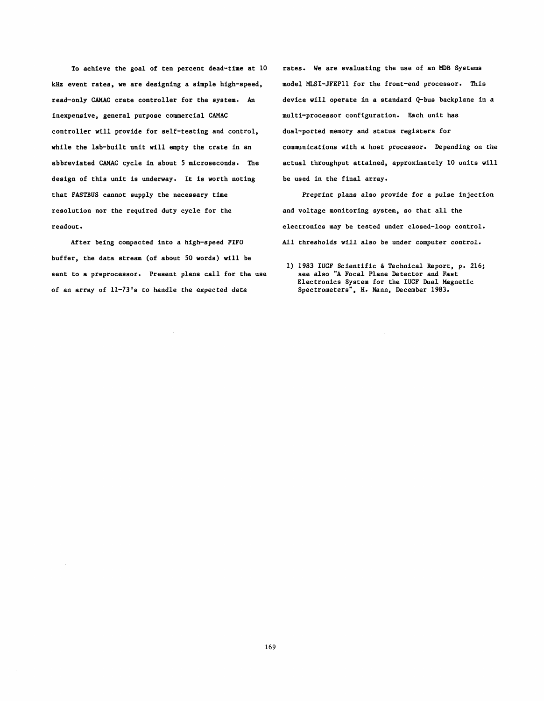To achieve the goal of ten percent dead-time at 10 **kHz** event rates, we are designing a simple high-speed, read-only **CAMAC** crate controller for the system. **An**  inexpensive, general purpose commercial **CAMAC**  controller will provide for self-testing and control, while the lab-built unit will empty the crate in an abbreviated **CAMAC** cycle in about 5 microseconds. The design of this unit is underway. It is worth noting that FASTBUS cannot supply the necessary time resolution nor the required duty cycle for the readout.

After being compacted into a high-speed **FIFO**  buffer, the data stream (of about 50 words) will be sent to a preprocessor. Present plans call for the use of an array of 11-73's to handle the expected data

rates. We are evaluating the use of an MDB Systems model MLSI-JFEP11 for the front-end processor. This device will operate in a standard Q-bus backplane in a multi-processor configuration. Each unit has dual-ported memory and status registers for communications with a host processor. Depending on the actual throughput attained, approximately 10 units will be used in the final array.

Preprint plans also provide for a pulse injection and voltage monitoring system, so that all the electronics may be tested under closed-loop control. All thresholds will also be under computer control.

<sup>1) 1983</sup> **IUCF** Scientific **6** Technical Report, p. 216; see also "A Focal Plane Detector and Fast Electronics System for the **IUCF** Dual Magnetic Spectrometers", **H.** Nann, December 1983.